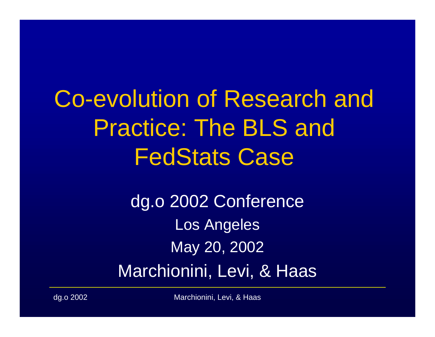Co-evolution of Research and Practice: The BLS and FedStats Case

> dg.o 2002 Conference Los Angeles May 20, 2002 Marchionini, Levi, & Haas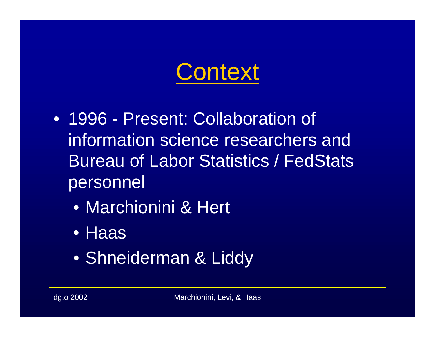

- 1996 Present: Collaboration of information science researchers and Bureau of Labor Statistics / FedStats personnel
	- •Marchionini & Hert
	- Haas
	- Shneiderman & Liddy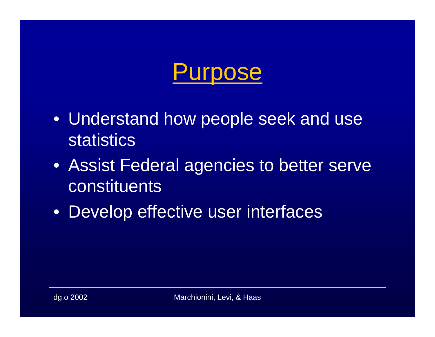

- Understand how people seek and use statistics
- Assist Federal agencies to better serve constituents
- Develop effective user interfaces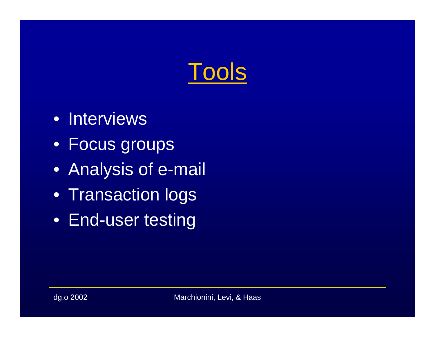

- Interviews
- Focus groups
- Analysis of e-mail
- Transaction logs
- End-user testing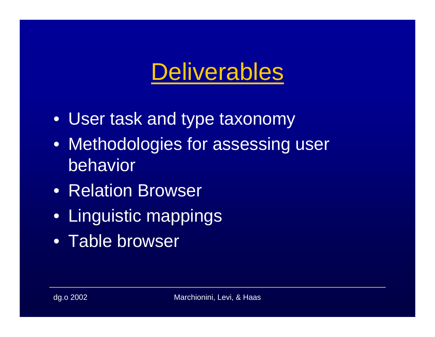#### **Deliverables**

- User task and type taxonomy
- Methodologies for assessing user behavior
- Relation Browser
- Linguistic mappings
- Table browser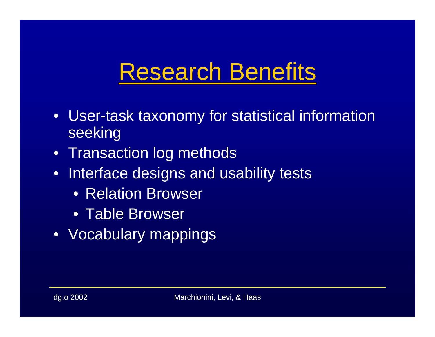#### Research Benefits

- User-task taxonomy for statistical information seeking
- Transaction log methods
- Interface designs and usability tests
	- Relation Browser
	- Table Browser
- Vocabulary mappings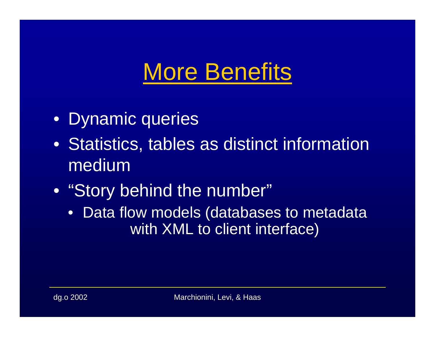#### **More Benefits**

- Dynamic queries
- Statistics, tables as distinct information medium
- "Story behind the number"
	- $\bullet$ Data flow models (databases to metadata with XML to client interface)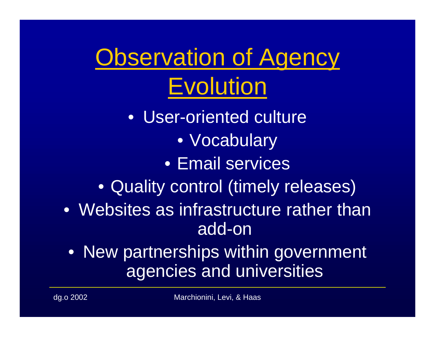Observation of Agency Evolution

•User-oriented culture • Vocabulary •Email services• Quality control (timely releases) • Websites as infrastructure rather than add-on

• New partnerships within government agencies and universities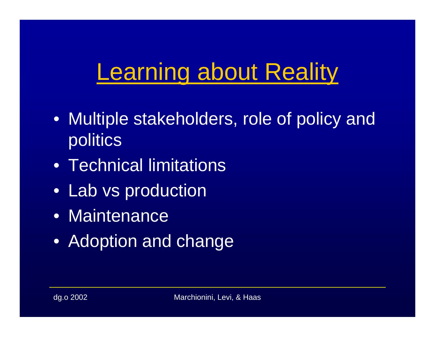# **Learning about Reality**

- Multiple stakeholders, role of policy and politics
- •Technical limitations
- Lab vs production
- •Maintenance
- Adoption and change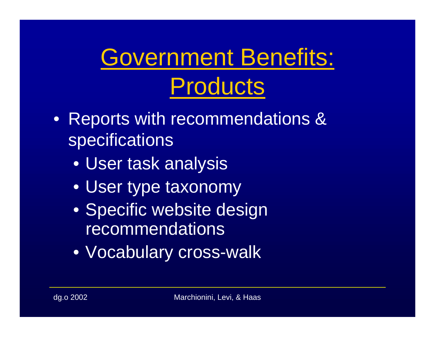# Government Benefits: Products

- Reports with recommendations & specifications
	- User task analysis
	- User type taxonomy
	- Specific website design recommendations
	- Vocabulary cross-walk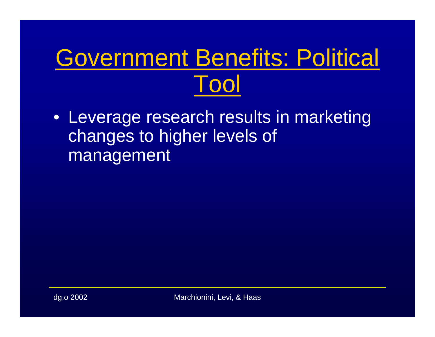# Government Benefits: Political Tool

• Leverage research results in marketing changes to higher levels of management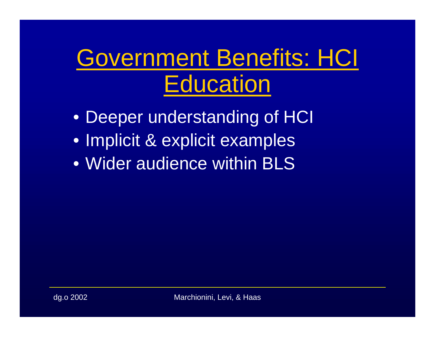#### Government Benefits: HCI **Education**

- Deeper understanding of HCI
- Implicit & explicit examples
- •Wider audience within BLS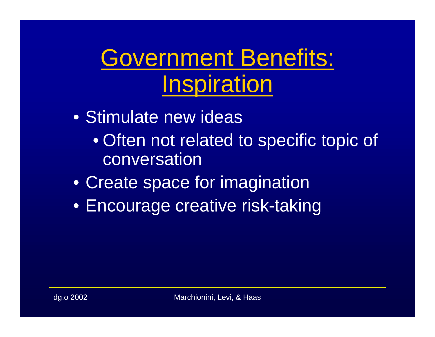#### Government Benefits: Inspiration

- •Stimulate new ideas • Often not related to specific topic of conversation
- Create space for imagination
- Encourage creative risk-taking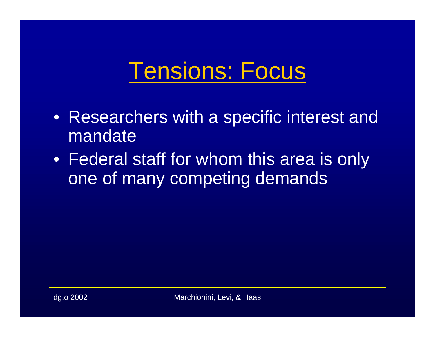#### Tensions: Focus

- Researchers with a specific interest and mandate
- Federal staff for whom this area is only one of many competing demands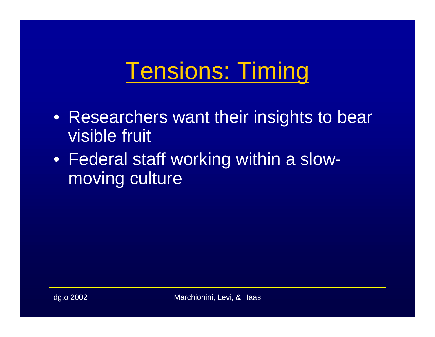#### Tensions: Timing

- Researchers want their insights to bear visible fruit
- Federal staff working within a slowmoving culture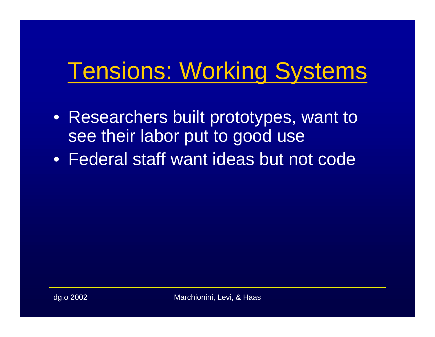#### Tensions: Working Systems

- Researchers built prototypes, want to see their labor put to good use
- •Federal staff want ideas but not code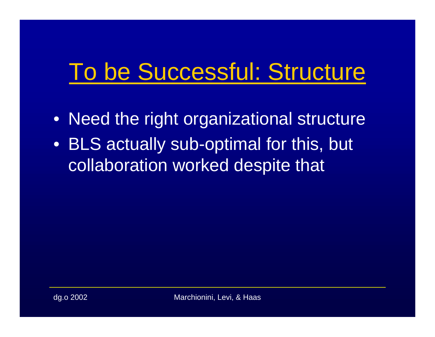# To be Successful: Structure

- Need the right organizational structure
- BLS actually sub-optimal for this, but collaboration worked despite that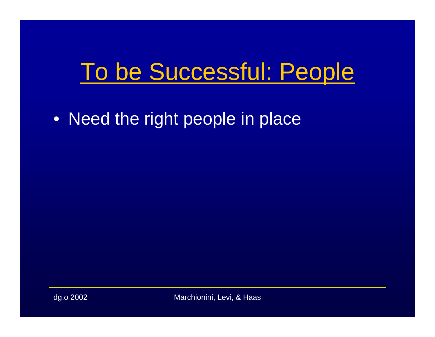# To be Successful: People

• Need the right people in place